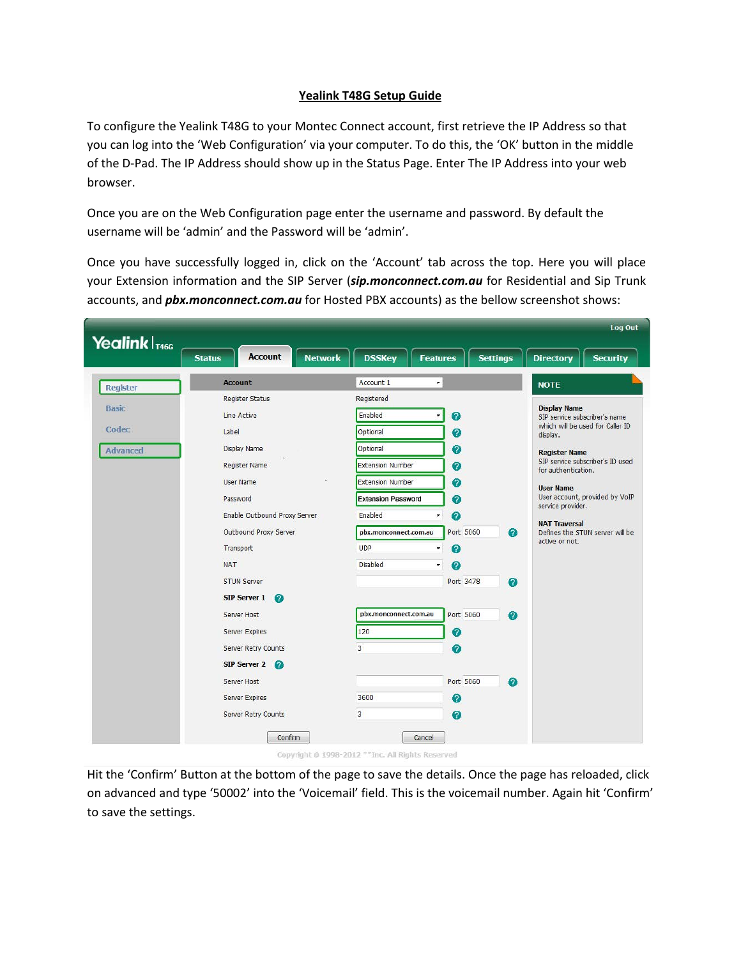## **Yealink T48G Setup Guide**

To configure the Yealink T48G to your Montec Connect account, first retrieve the IP Address so that you can log into the 'Web Configuration' via your computer. To do this, the 'OK' button in the middle of the D-Pad. The IP Address should show up in the Status Page. Enter The IP Address into your web browser.

Once you are on the Web Configuration page enter the username and password. By default the username will be 'admin' and the Password will be 'admin'.

Once you have successfully logged in, click on the 'Account' tab across the top. Here you will place your Extension information and the SIP Server (*sip.monconnect.com.au* for Residential and Sip Trunk accounts, and *pbx.monconnect.com.au* for Hosted PBX accounts) as the bellow screenshot shows:

|                           | Log Out                                           |                                       |                               |                                                                                                                                                                                                                 |
|---------------------------|---------------------------------------------------|---------------------------------------|-------------------------------|-----------------------------------------------------------------------------------------------------------------------------------------------------------------------------------------------------------------|
| Yealink T <sub>1466</sub> | <b>Account</b><br><b>Network</b><br><b>Status</b> | <b>DSSKey</b><br><b>Features</b>      | <b>Settings</b>               | <b>Directory</b><br><b>Security</b>                                                                                                                                                                             |
| <b>Register</b>           | <b>Account</b>                                    | Account 1<br>$\overline{\phantom{a}}$ |                               | <b>NOTE</b>                                                                                                                                                                                                     |
|                           | <b>Register Status</b>                            | Registered                            |                               |                                                                                                                                                                                                                 |
| <b>Basic</b>              | Line Active                                       | Enabled                               | Ø                             | <b>Display Name</b><br>SIP service subscriber's name                                                                                                                                                            |
| Codec                     | Label                                             | Optional                              | 0                             | which will be used for Caller ID<br>display.                                                                                                                                                                    |
| <b>Advanced</b>           | Display Name                                      | Optional                              | ❼                             | <b>Register Name</b>                                                                                                                                                                                            |
|                           | <b>Register Name</b>                              | <b>Extension Number</b>               | ℯ                             | SIP service subscriber's ID used<br>for authentication.<br><b>User Name</b><br>User account, provided by VoIP<br>service provider.<br><b>NAT Traversal</b><br>Defines the STUN server will be<br>active or not. |
|                           | <b>User Name</b>                                  | <b>Extension Number</b>               | 0                             |                                                                                                                                                                                                                 |
|                           | Password                                          | <b>Extension Password</b>             | 0                             |                                                                                                                                                                                                                 |
|                           | Enable Outbound Proxy Server                      | Enabled<br>$\pmb{\mathrm{v}}$         | 0                             |                                                                                                                                                                                                                 |
|                           | Outbound Proxy Server                             |                                       | Port 5060                     |                                                                                                                                                                                                                 |
|                           |                                                   | pbx.monconnect.com.au<br><b>UDP</b>   | $\bullet$                     |                                                                                                                                                                                                                 |
|                           | Transport                                         | $\pmb{\tau}$                          | 2                             |                                                                                                                                                                                                                 |
|                           | <b>NAT</b>                                        | <b>Disabled</b><br>۰,                 | 2                             |                                                                                                                                                                                                                 |
|                           | <b>STUN Server</b>                                |                                       | Port 3478<br>$\boldsymbol{Q}$ |                                                                                                                                                                                                                 |
|                           | <b>SIP Server 1</b><br>$\Omega$                   |                                       |                               |                                                                                                                                                                                                                 |
|                           | Server Host                                       | pbx.monconnect.com.au                 | Port 5060<br>0                |                                                                                                                                                                                                                 |
|                           | Server Expires                                    | 120                                   | 0                             |                                                                                                                                                                                                                 |
|                           | Server Retry Counts                               | 3                                     | 0                             |                                                                                                                                                                                                                 |
|                           | SIP Server 2                                      |                                       |                               |                                                                                                                                                                                                                 |
|                           | Server Host                                       |                                       | Port 5060<br>$\boldsymbol{Q}$ |                                                                                                                                                                                                                 |
|                           | Server Expires                                    | 3600                                  | ⋒                             |                                                                                                                                                                                                                 |
|                           | Server Retry Counts                               | 3                                     | 0                             |                                                                                                                                                                                                                 |
|                           |                                                   |                                       |                               |                                                                                                                                                                                                                 |
|                           | Confirm                                           | Cancel                                |                               |                                                                                                                                                                                                                 |

Hit the 'Confirm' Button at the bottom of the page to save the details. Once the page has reloaded, click on advanced and type '50002' into the 'Voicemail' field. This is the voicemail number. Again hit 'Confirm' to save the settings.